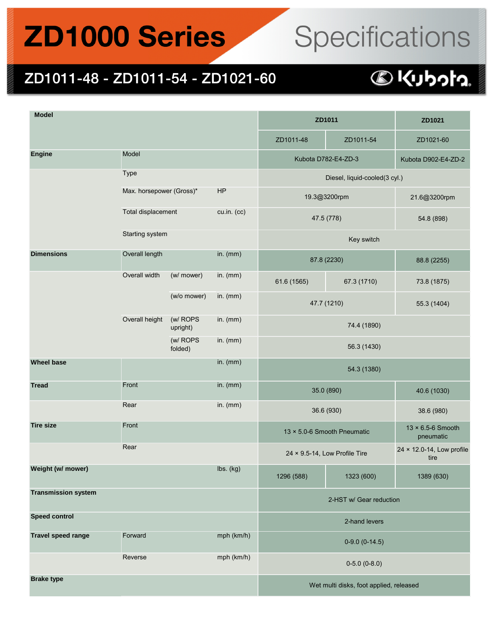## **ZD1000 Series**

# Specifications

#### ZD1011-48 - ZD1011-54 - ZD1021-60

| <b>Model</b>               |                          |                      | ZD1011                                  |                               | ZD1021      |                                   |  |
|----------------------------|--------------------------|----------------------|-----------------------------------------|-------------------------------|-------------|-----------------------------------|--|
|                            |                          |                      |                                         | ZD1011-48                     | ZD1011-54   | ZD1021-60                         |  |
| <b>Engine</b>              | Model                    |                      |                                         | Kubota D782-E4-ZD-3           |             | Kubota D902-E4-ZD-2               |  |
|                            | Type                     |                      |                                         | Diesel, liquid-cooled(3 cyl.) |             |                                   |  |
|                            | Max. horsepower (Gross)* |                      | HP                                      | 19.3@3200rpm                  |             | 21.6@3200rpm                      |  |
|                            | Total displacement       |                      | cu.in. (cc)                             | 47.5 (778)                    |             | 54.8 (898)                        |  |
|                            | Starting system          |                      |                                         | Key switch                    |             |                                   |  |
| <b>Dimensions</b>          | Overall length           |                      | in. $(mm)$                              | 87.8 (2230)                   |             | 88.8 (2255)                       |  |
|                            | Overall width            | (w/ mower)           | in. $(mm)$                              | 61.6 (1565)                   | 67.3 (1710) | 73.8 (1875)                       |  |
|                            |                          | (w/o mower)          | in. $(mm)$                              | 47.7 (1210)                   |             | 55.3 (1404)                       |  |
|                            | Overall height           | (w/ ROPS<br>upright) | in. $(mm)$                              | 74.4 (1890)                   |             |                                   |  |
|                            |                          | (w/ ROPS<br>folded)  | in. $(mm)$                              | 56.3 (1430)                   |             |                                   |  |
| <b>Wheel base</b>          |                          |                      | in. $(mm)$                              | 54.3 (1380)                   |             |                                   |  |
| <b>Tread</b>               | Front                    |                      | in. $(mm)$                              | 35.0 (890)                    |             | 40.6 (1030)                       |  |
|                            | Rear                     |                      | in. $(mm)$                              | 36.6 (930)                    |             | 38.6 (980)                        |  |
| <b>Tire size</b>           | Front                    |                      |                                         | 13 × 5.0-6 Smooth Pneumatic   |             | 13 × 6.5-6 Smooth<br>pneumatic    |  |
|                            | Rear                     |                      |                                         | 24 × 9.5-14, Low Profile Tire |             | 24 × 12.0-14, Low profile<br>tire |  |
| Weight (w/ mower)          |                          |                      | lbs. (kg)                               | 1296 (588)                    | 1323 (600)  | 1389 (630)                        |  |
| <b>Transmission system</b> |                          |                      |                                         | 2-HST w/ Gear reduction       |             |                                   |  |
| <b>Speed control</b>       |                          |                      |                                         | 2-hand levers                 |             |                                   |  |
| <b>Travel speed range</b>  | Forward<br>mph (km/h)    |                      |                                         | $0-9.0$ $(0-14.5)$            |             |                                   |  |
|                            | mph (km/h)<br>Reverse    |                      |                                         | $0-5.0$ $(0-8.0)$             |             |                                   |  |
| <b>Brake type</b>          |                          |                      | Wet multi disks, foot applied, released |                               |             |                                   |  |